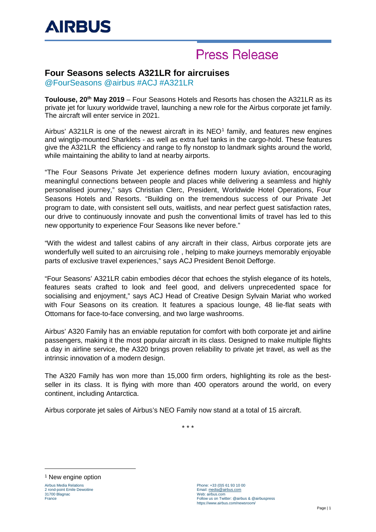# **Press Release**

### **Four Seasons selects A321LR for aircruises**

@FourSeasons @airbus #ACJ #A321LR

**Toulouse, 20th May 2019** – Four Seasons Hotels and Resorts has chosen the A321LR as its private jet for luxury worldwide travel, launching a new role for the Airbus corporate jet family. The aircraft will enter service in 2021.

Airbus' A32[1](#page-0-0)LR is one of the newest aircraft in its  $NEO<sup>1</sup>$  family, and features new engines and wingtip-mounted Sharklets - as well as extra fuel tanks in the cargo-hold. These features give the A321LR the efficiency and range to fly nonstop to landmark sights around the world, while maintaining the ability to land at nearby airports.

"The Four Seasons Private Jet experience defines modern luxury aviation, encouraging meaningful connections between people and places while delivering a seamless and highly personalised journey," says [Christian Clerc,](https://press.fourseasons.com/corporate-bios/christian-clerc.html) President, Worldwide Hotel Operations, Four Seasons Hotels and Resorts. "Building on the tremendous success of our Private Jet program to date, with consistent sell outs, waitlists, and near perfect guest satisfaction rates, our drive to continuously innovate and push the conventional limits of travel has led to this new opportunity to experience Four Seasons like never before."

"With the widest and tallest cabins of any aircraft in their class, Airbus corporate jets are wonderfully well suited to an aircruising role , helping to make journeys memorably enjoyable parts of exclusive travel experiences," says ACJ President Benoit Defforge.

"Four Seasons' A321LR cabin embodies décor that echoes the stylish elegance of its hotels, features seats crafted to look and feel good, and delivers unprecedented space for socialising and enjoyment," says ACJ Head of Creative Design Sylvain Mariat who worked with Four Seasons on its creation. It features a spacious lounge, 48 lie-flat seats with Ottomans for face-to-face conversing, and two large washrooms.

Airbus' A320 Family has an enviable reputation for comfort with both corporate jet and airline passengers, making it the most popular aircraft in its class. Designed to make multiple flights a day in airline service, the A320 brings proven reliability to private jet travel, as well as the intrinsic innovation of a modern design.

The A320 Family has won more than 15,000 firm orders, highlighting its role as the bestseller in its class. It is flying with more than 400 operators around the world, on every continent, including Antarctica.

Airbus corporate jet sales of Airbus's NEO Family now stand at a total of 15 aircraft.

\* \* \*

<span id="page-0-0"></span><sup>1</sup> New engine option

-

Airbus Media Relations 2 rond-point Emile Dewoitine 31700 Blagnac France